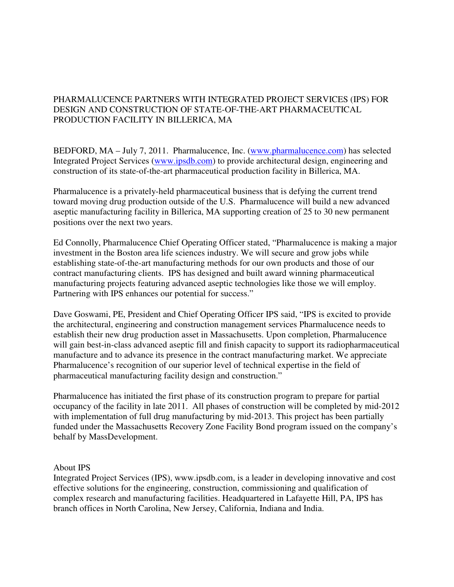## PHARMALUCENCE PARTNERS WITH INTEGRATED PROJECT SERVICES (IPS) FOR DESIGN AND CONSTRUCTION OF STATE-OF-THE-ART PHARMACEUTICAL PRODUCTION FACILITY IN BILLERICA, MA

BEDFORD, MA – July 7, 2011. Pharmalucence, Inc. (www.pharmalucence.com) has selected Integrated Project Services (www.ipsdb.com) to provide architectural design, engineering and construction of its state-of-the-art pharmaceutical production facility in Billerica, MA.

Pharmalucence is a privately-held pharmaceutical business that is defying the current trend toward moving drug production outside of the U.S. Pharmalucence will build a new advanced aseptic manufacturing facility in Billerica, MA supporting creation of 25 to 30 new permanent positions over the next two years.

Ed Connolly, Pharmalucence Chief Operating Officer stated, "Pharmalucence is making a major investment in the Boston area life sciences industry. We will secure and grow jobs while establishing state-of-the-art manufacturing methods for our own products and those of our contract manufacturing clients. IPS has designed and built award winning pharmaceutical manufacturing projects featuring advanced aseptic technologies like those we will employ. Partnering with IPS enhances our potential for success."

Dave Goswami, PE, President and Chief Operating Officer IPS said, "IPS is excited to provide the architectural, engineering and construction management services Pharmalucence needs to establish their new drug production asset in Massachusetts. Upon completion, Pharmalucence will gain best-in-class advanced aseptic fill and finish capacity to support its radiopharmaceutical manufacture and to advance its presence in the contract manufacturing market. We appreciate Pharmalucence's recognition of our superior level of technical expertise in the field of pharmaceutical manufacturing facility design and construction."

Pharmalucence has initiated the first phase of its construction program to prepare for partial occupancy of the facility in late 2011. All phases of construction will be completed by mid-2012 with implementation of full drug manufacturing by mid-2013. This project has been partially funded under the Massachusetts Recovery Zone Facility Bond program issued on the company's behalf by MassDevelopment.

## About IPS

Integrated Project Services (IPS), www.ipsdb.com, is a leader in developing innovative and cost effective solutions for the engineering, construction, commissioning and qualification of complex research and manufacturing facilities. Headquartered in Lafayette Hill, PA, IPS has branch offices in North Carolina, New Jersey, California, Indiana and India.